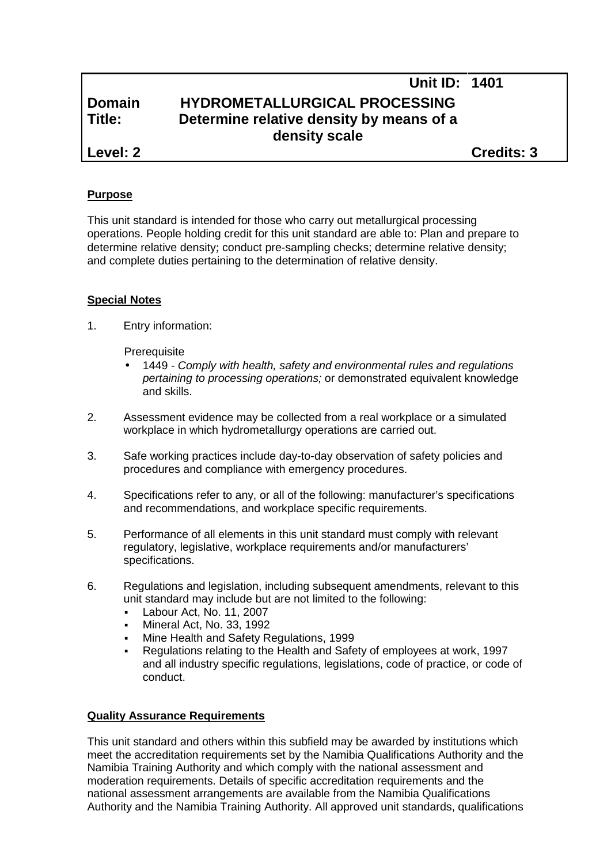# **Unit ID: 1401 Domain HYDROMETALLURGICAL PROCESSING Title: Determine relative density by means of a density scale Level: 2 Credits: 3**

**Purpose**

This unit standard is intended for those who carry out metallurgical processing operations. People holding credit for this unit standard are able to: Plan and prepare to determine relative density; conduct pre-sampling checks; determine relative density; and complete duties pertaining to the determination of relative density.

### **Special Notes**

1. Entry information:

**Prerequisite** 

- 1449 *- Comply with health, safety and environmental rules and regulations pertaining to processing operations;* or demonstrated equivalent knowledge and skills.
- 2. Assessment evidence may be collected from a real workplace or a simulated workplace in which hydrometallurgy operations are carried out.
- 3. Safe working practices include day-to-day observation of safety policies and procedures and compliance with emergency procedures.
- 4. Specifications refer to any, or all of the following: manufacturer's specifications and recommendations, and workplace specific requirements.
- 5. Performance of all elements in this unit standard must comply with relevant regulatory, legislative, workplace requirements and/or manufacturers' specifications.
- 6. Regulations and legislation, including subsequent amendments, relevant to this unit standard may include but are not limited to the following:
	- Labour Act, No. 11, 2007
	- Mineral Act, No. 33, 1992
	- Mine Health and Safety Regulations, 1999
	- Regulations relating to the Health and Safety of employees at work, 1997 and all industry specific regulations, legislations, code of practice, or code of conduct.

### **Quality Assurance Requirements**

This unit standard and others within this subfield may be awarded by institutions which meet the accreditation requirements set by the Namibia Qualifications Authority and the Namibia Training Authority and which comply with the national assessment and moderation requirements. Details of specific accreditation requirements and the national assessment arrangements are available from the Namibia Qualifications Authority and the Namibia Training Authority. All approved unit standards, qualifications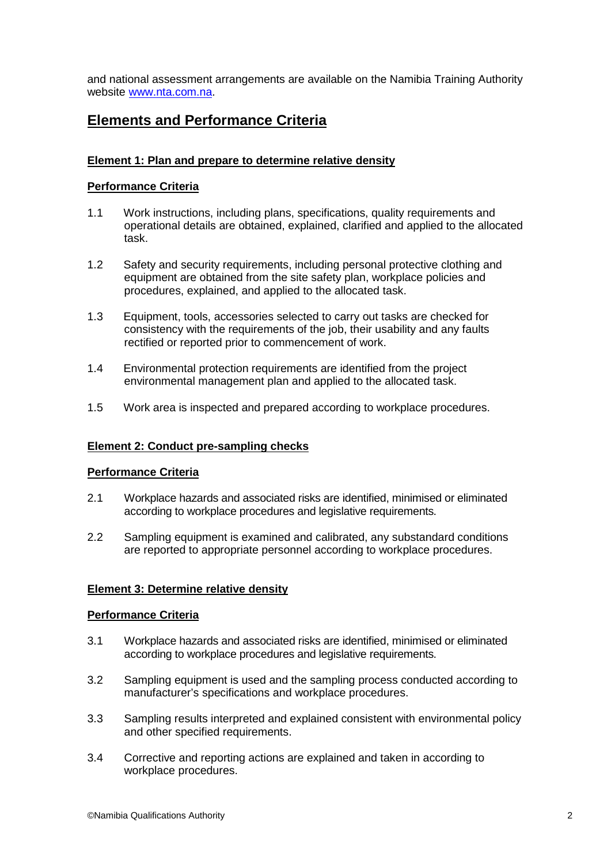and national assessment arrangements are available on the Namibia Training Authority website www.nta.com.na.

# **Elements and Performance Criteria**

### **Element 1: Plan and prepare to determine relative density**

### **Performance Criteria**

- 1.1 Work instructions, including plans, specifications, quality requirements and operational details are obtained, explained, clarified and applied to the allocated task.
- 1.2 Safety and security requirements, including personal protective clothing and equipment are obtained from the site safety plan, workplace policies and procedures, explained, and applied to the allocated task.
- 1.3 Equipment, tools, accessories selected to carry out tasks are checked for consistency with the requirements of the job, their usability and any faults rectified or reported prior to commencement of work.
- 1.4 Environmental protection requirements are identified from the project environmental management plan and applied to the allocated task.
- 1.5 Work area is inspected and prepared according to workplace procedures.

### **Element 2: Conduct pre-sampling checks**

### **Performance Criteria**

- 2.1 Workplace hazards and associated risks are identified, minimised or eliminated according to workplace procedures and legislative requirements.
- 2.2 Sampling equipment is examined and calibrated, any substandard conditions are reported to appropriate personnel according to workplace procedures.

### **Element 3: Determine relative density**

### **Performance Criteria**

- 3.1 Workplace hazards and associated risks are identified, minimised or eliminated according to workplace procedures and legislative requirements.
- 3.2 Sampling equipment is used and the sampling process conducted according to manufacturer's specifications and workplace procedures.
- 3.3 Sampling results interpreted and explained consistent with environmental policy and other specified requirements.
- 3.4 Corrective and reporting actions are explained and taken in according to workplace procedures.